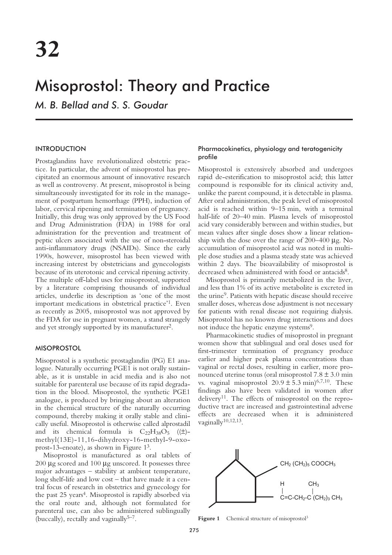# Misoprostol: Theory and Practice

*M. B. Bellad and S. S. Goudar*

# INTRODUCTION

Prostaglandins have revolutionalized obstetric practice. In particular, the advent of misoprostol has precipitated an enormous amount of innovative research as well as controversy. At present, misoprostol is being simultaneously investigated for its role in the management of postpartum hemorrhage (PPH), induction of labor, cervical ripening and termination of pregnancy. Initially, this drug was only approved by the US Food and Drug Administration (FDA) in 1988 for oral administration for the prevention and treatment of peptic ulcers associated with the use of non-steroidal anti-inflammatory drugs (NSAIDs). Since the early 1990s, however, misoprostol has been viewed with increasing interest by obstetricians and gynecologists because of its uterotonic and cervical ripening activity. The multiple off-label uses for misoprostol, supported by a literature comprising thousands of individual articles, underlie its description as 'one of the most important medications in obstetrical practice'1. Even as recently as 2005, misoprostol was not approved by the FDA for use in pregnant women, a stand strangely and yet strongly supported by its manufacturer2.

#### **MISOPROSTOL**

Misoprostol is a synthetic prostaglandin (PG) E1 analogue. Naturally occurring PGE1 is not orally sustainable, as it is unstable in acid media and is also not suitable for parenteral use because of its rapid degradation in the blood. Misoprostol, the synthetic PGE1 analogue, is produced by bringing about an alteration in the chemical structure of the naturally occurring compound, thereby making it orally stable and clinically useful. Misoprostol is otherwise called alprostadil and its chemical formula is  $C_{22}H_{38}O_5$  (( $\pm$ )methyl(13E)-11,16-dihydroxy-16-methyl-9-oxoprost-13-enoate), as shown in Figure 13.

Misoprostol is manufactured as oral tablets of 200 µg scored and 100 µg unscored. It possesses three major advantages – stability at ambient temperature, long shelf-life and low cost – that have made it a central focus of research in obstetrics and gynecology for the past 25 years<sup>4</sup>. Misoprostol is rapidly absorbed via the oral route and, although not formulated for parenteral use, can also be administered sublingually (buccally), rectally and vaginally $5-7$ .

## Pharmacokinetics, physiology and teratogenicity profile

Misoprostol is extensively absorbed and undergoes rapid de-esterification to misoprostol acid; this latter compound is responsible for its clinical activity and, unlike the parent compound, it is detectable in plasma. After oral administration, the peak level of misoprostol acid is reached within 9–15 min, with a terminal half-life of 20–40 min. Plasma levels of misoprostol acid vary considerably between and within studies, but mean values after single doses show a linear relationship with the dose over the range of  $200-400 \mu$ g. No accumulation of misoprostol acid was noted in multiple dose studies and a plasma steady state was achieved within 2 days. The bioavailability of misoprostol is decreased when administered with food or antacids<sup>8</sup>.

Misoprostol is primarily metabolized in the liver, and less than 1% of its active metabolite is excreted in the urine9. Patients with hepatic disease should receive smaller doses, whereas dose adjustment is not necessary for patients with renal disease not requiring dialysis. Misoprostol has no known drug interactions and does not induce the hepatic enzyme systems<sup>9</sup>.

Pharmacokinetic studies of misoprostol in pregnant women show that sublingual and oral doses used for first-trimester termination of pregnancy produce earlier and higher peak plasma concentrations than vaginal or rectal doses, resulting in earlier, more pronounced uterine tonus (oral misoprostol  $7.8 \pm 3.0$  min vs. vaginal misoprostol  $20.9 \pm 5.3$  min)<sup>6,7,10</sup>. These findings also have been validated in women after delivery<sup>11</sup>. The effects of misoprostol on the reproductive tract are increased and gastrointestinal adverse effects are decreased when it is administered vaginally<sup>10,12,13</sup>.



Figure 1 Chemical structure of misoprostol<sup>3</sup>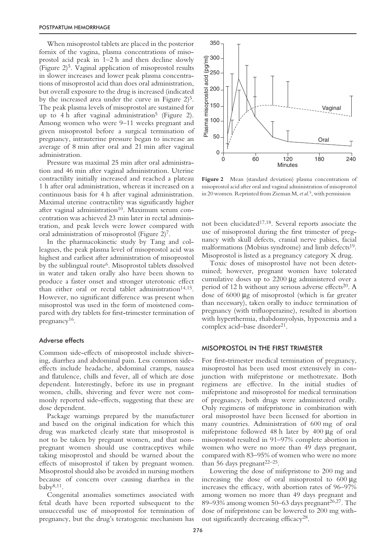When misoprostol tablets are placed in the posterior fornix of the vagina, plasma concentrations of misoprostol acid peak in 1–2 h and then decline slowly (Figure 2)5. Vaginal application of misoprostol results in slower increases and lower peak plasma concentrations of misoprostol acid than does oral administration, but overall exposure to the drug is increased (indicated by the increased area under the curve in Figure 2)<sup>5</sup>. The peak plasma levels of misoprostol are sustained for up to 4 h after vaginal administration<sup>5</sup> (Figure 2). Among women who were 9–11 weeks pregnant and given misoprostol before a surgical termination of pregnancy, intrauterine pressure began to increase an average of 8 min after oral and 21 min after vaginal administration.

Pressure was maximal 25 min after oral administration and 46 min after vaginal administration. Uterine contractility initially increased and reached a plateau 1 h after oral administration, whereas it increased on a continuous basis for 4 h after vaginal administration. Maximal uterine contractility was significantly higher after vaginal administration<sup>10</sup>. Maximum serum concentration was achieved 23 min later in rectal administration, and peak levels were lower compared with oral administration of misoprostol (Figure 2)7.

In the pharmacokinetic study by Tang and colleagues, the peak plasma level of misoprostol acid was highest and earliest after administration of misoprostol by the sublingual route<sup>6</sup>. Misoprostol tablets dissolved in water and taken orally also have been shown to produce a faster onset and stronger uterotonic effect than either oral or rectal tablet administration<sup>14,15</sup>. However, no significant difference was present when misoprostol was used in the form of moistened compared with dry tablets for first-trimester termination of pregnancy16.

## Adverse effects

Common side-effects of misoprostol include shivering, diarrhea and abdominal pain. Less common sideeffects include headache, abdominal cramps, nausea and flatulence, chills and fever, all of which are dose dependent. Interestingly, before its use in pregnant women, chills, shivering and fever were not commonly reported side-effects, suggesting that these are dose dependent.

Package warnings prepared by the manufacturer and based on the original indication for which this drug was marketed clearly state that misoprostol is not to be taken by pregnant women, and that nonpregnant women should use contraceptives while taking misoprostol and should be warned about the effects of misoprostol if taken by pregnant women. Misoprostol should also be avoided in nursing mothers because of concern over causing diarrhea in the baby8,11.

Congenital anomalies sometimes associated with fetal death have been reported subsequent to the unsuccessful use of misoprostol for termination of pregnancy, but the drug's teratogenic mechanism has



Figure 2 Mean (standard deviation) plasma concentrations of misoprostol acid after oral and vaginal administration of misoprostol in 20 women. Reprinted from Zieman M,*et al*. 5 , with permission

not been elucidated<sup>17,18</sup>. Several reports associate the use of misoprostol during the first trimester of pregnancy with skull defects, cranial nerve palsies, facial malformations (Mobius syndrome) and limb defects<sup>19</sup>. Misoprostol is listed as a pregnancy category X drug.

Toxic doses of misoprostol have not been determined; however, pregnant women have tolerated cumulative doses up to 2200 µg administered over a period of 12 h without any serious adverse effects<sup>20</sup>. A dose of 6000 µg of misoprostol (which is far greater than necessary), taken orally to induce termination of pregnancy (with trifluoperazine), resulted in abortion with hyperthermia, rhabdomyolysis, hypoxemia and a complex acid–base disorder<sup>21</sup>.

#### MISOPROSTOL IN THE FIRST TRIMESTER

For first-trimester medical termination of pregnancy, misoprostol has been used most extensively in conjunction with mifepristone or methotrexate. Both regimens are effective. In the initial studies of mifepristone and misoprostol for medical termination of pregnancy, both drugs were administered orally. Only regimens of mifepristone in combination with oral misoprostol have been licensed for abortion in many countries. Administration of 600 mg of oral mifepristone followed 48 h later by 400 µg of oral misoprostol resulted in 91–97% complete abortion in women who were no more than 49 days pregnant, compared with 83–95% of women who were no more than 56 days pregnant $22-25$ .

Lowering the dose of mifepristone to 200 mg and increasing the dose of oral misoprostol to 600 µg increases the efficacy, with abortion rates of 96–97% among women no more than 49 days pregnant and 89–93% among women 50–63 days pregnant<sup>26,27</sup>. The dose of mifepristone can be lowered to 200 mg without significantly decreasing efficacy28.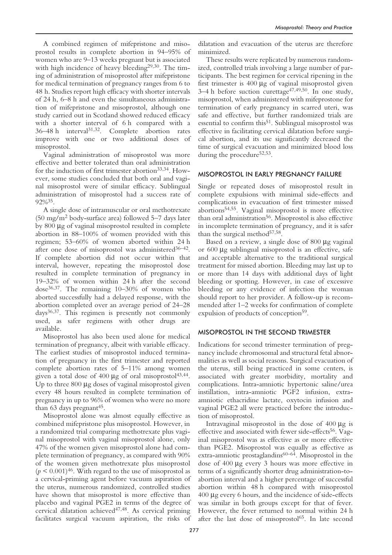A combined regimen of mifepristone and misoprostol results in complete abortion in 94–95% of women who are 9–13 weeks pregnant but is associated with high incidence of heavy bleeding<sup>29,30</sup>. The timing of administration of misoprostol after mifepristone for medical termination of pregnancy ranges from 6 to 48 h. Studies report high efficacy with shorter intervals of 24 h, 6–8 h and even the simultaneous administration of mifepristone and misoprostol, although one study carried out in Scotland showed reduced efficacy with a shorter interval of 6 h compared with a 36–48 h interval31,32. Complete abortion rates improve with one or two additional doses of misoprostol.

Vaginal administration of misoprostol was more effective and better tolerated than oral administration for the induction of first trimester abortion<sup>33,34</sup>. However, some studies concluded that both oral and vaginal misoprostol were of similar efficacy. Sublingual administration of misoprostol had a success rate of 92%35.

A single dose of intramuscular or oral methotrexate  $(50 \text{ mg/m}^2 \text{ body-surface area})$  followed 5–7 days later by 800 µg of vaginal misoprostol resulted in complete abortion in 88–100% of women provided with this regimen; 53–60% of women aborted within 24 h after one dose of misoprostol was administered $36-42$ . If complete abortion did not occur within that interval, however, repeating the misoprostol dose resulted in complete termination of pregnancy in 19–32% of women within 24 h after the second dose36,37. The remaining 10–30% of women who aborted successfully had a delayed response, with the abortion completed over an average period of 24–28 days36,37. This regimen is presently not commonly used, as safer regimens with other drugs are available.

Misoprostol has also been used alone for medical termination of pregnancy, albeit with variable efficacy. The earliest studies of misoprostol induced termination of pregnancy in the first trimester and reported complete abortion rates of 5–11% among women given a total dose of  $400 \mu g$  of oral misoprostol<sup>43,44</sup>. Up to three 800 µg doses of vaginal misoprostol given every 48 hours resulted in complete termination of pregnancy in up to 96% of women who were no more than 63 days pregnant<sup>45</sup>.

Misoprostol alone was almost equally effective as combined mifepristone plus misoprostol. However, in a randomized trial comparing methotrexate plus vaginal misoprostol with vaginal misoprostol alone, only 47% of the women given misoprostol alone had complete termination of pregnancy, as compared with 90% of the women given methotrexate plus misoprostol  $(p < 0.001)^{46}$ . With regard to the use of misoprostol as a cervical-priming agent before vacuum aspiration of the uterus, numerous randomized, controlled studies have shown that misoprostol is more effective than placebo and vaginal PGE2 in terms of the degree of cervical dilatation achieved47,48. As cervical priming facilitates surgical vacuum aspiration, the risks of dilatation and evacuation of the uterus are therefore minimized.

These results were replicated by numerous randomized, controlled trials involving a large number of participants. The best regimen for cervical ripening in the first trimester is 400 µg of vaginal misoprostol given  $3-4$  h before suction curettage<sup>47,49,50</sup>. In one study, misoprostol, when administered with mifeprostone for termination of early pregnancy in scarred uteri, was safe and effective, but further randomized trials are essential to confirm this<sup>51</sup>. Sublingual misoprostol was effective in facilitating cervical dilatation before surgical abortion, and its use significantly decreased the time of surgical evacuation and minimized blood loss during the procedure<sup>52,53</sup>.

## MISOPROSTOL IN EARLY PREGNANCY FAILURE

Single or repeated doses of misoprostol result in complete expulsions with minimal side-effects and complications in evacuation of first trimester missed abortions54,55. Vaginal misoprostol is more effective than oral administration<sup>56</sup>. Misoprostol is also effective in incomplete termination of pregnancy, and it is safer than the surgical method<sup>57,58</sup>.

Based on a review, a single dose of 800 µg vaginal or 600 µg sublingual misoprostol is an effective, safe and acceptable alternative to the traditional surgical treatment for missed abortion. Bleeding may last up to or more than 14 days with additional days of light bleeding or spotting. However, in case of excessive bleeding or any evidence of infection the woman should report to her provider. A follow-up is recommended after 1–2 weeks for confirmation of complete expulsion of products of conception<sup>59</sup>.

# MISOPROSTOL IN THE SECOND TRIMESTER

Indications for second trimester termination of pregnancy include chromosomal and structural fetal abnormalities as well as social reasons. Surgical evacuation of the uterus, still being practiced in some centers, is associated with greater morbidity, mortality and complications. Intra-amniotic hypertonic saline/urea instillation, intra-amniotic PGF2 infusion, extraamniotic ethacridine lactate, oxytocin infusion and vaginal PGE2 all were practiced before the introduction of misoprostol.

Intravaginal misoprostol in the dose of  $400 \mu g$  is effective and associated with fewer side-effects<sup>56</sup>. Vaginal misoprostol was as effective as or more effective than PGE2. Misoprostol was equally as effective as extra-amniotic prostaglandins<sup>60-64</sup>. Misoprostol in the dose of 400 µg every 3 hours was more effective in terms of a significantly shorter drug administration-toabortion interval and a higher percentage of successful abortion within 48 h compared with misoprostol 400 µg every 6 hours, and the incidence of side-effects was similar in both groups except for that of fever. However, the fever returned to normal within 24 h after the last dose of misoprostol<sup>65</sup>. In late second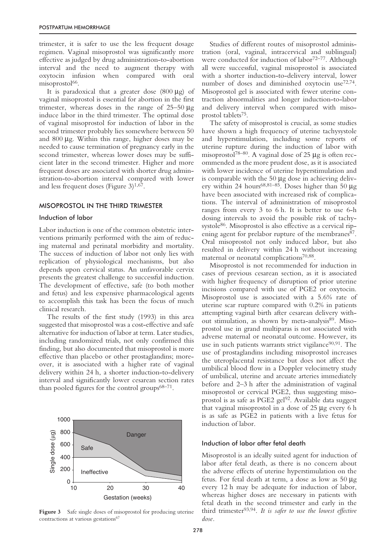trimester, it is safer to use the less frequent dosage regimen. Vaginal misoprostol was significantly more effective as judged by drug administration-to-abortion interval and the need to augment therapy with oxytocin infusion when compared with oral misoprostol<sup>66</sup>.

It is paradoxical that a greater dose  $(800 \mu g)$  of vaginal misoprostol is essential for abortion in the first trimester, whereas doses in the range of  $25-50 \mu$ g induce labor in the third trimester. The optimal dose of vaginal misoprostol for induction of labor in the second trimester probably lies somewhere between 50 and  $800 \mu$ g. Within this range, higher doses may be needed to cause termination of pregnancy early in the second trimester, whereas lower doses may be sufficient later in the second trimester. Higher and more frequent doses are associated with shorter drug administration-to-abortion interval compared with lower and less frequent doses (Figure  $3)^{1,67}$ .

# MISOPROSTOL IN THE THIRD TRIMESTER

#### Induction of labor

Labor induction is one of the common obstetric interventions primarily performed with the aim of reducing maternal and perinatal morbidity and mortality. The success of induction of labor not only lies with replication of physiological mechanisms, but also depends upon cervical status. An unfavorable cervix presents the greatest challenge to successful induction. The development of effective, safe (to both mother and fetus) and less expensive pharmacological agents to accomplish this task has been the focus of much clinical research.

The results of the first study (1993) in this area suggested that misoprostol was a cost-effective and safe alternative for induction of labor at term. Later studies, including randomized trials, not only confirmed this finding, but also documented that misoprostol is more effective than placebo or other prostaglandins; moreover, it is associated with a higher rate of vaginal delivery within 24 h, a shorter induction-to-delivery interval and significantly lower cesarean section rates than pooled figures for the control groups $68-71$ .



**Figure 3** Safe single doses of misoprostol for producing uterine contractions at various gestations<sup>67</sup>

Studies of different routes of misoprostol administration (oral, vaginal, intracervical and sublingual) were conducted for induction of labor<sup>72–77</sup>. Although all were successful, vaginal misoprostol is associated with a shorter induction-to-delivery interval, lower number of doses and diminished oxytocin use<sup>72,74</sup>. Misoprostol gel is associated with fewer uterine contraction abnormalities and longer induction-to-labor and delivery interval when compared with misoprostol tablets75.

The safety of misoprostol is crucial, as some studies have shown a high frequency of uterine tachysystole and hyperstimulation, including some reports of uterine rupture during the induction of labor with misoprostol<sup>78–80</sup>. A vaginal dose of 25 µg is often recommended as the more prudent dose, as it is associated with lower incidence of uterine hyperstimulation and is comparable with the  $50 \mu$ g dose in achieving delivery within 24 hours<sup>68,81-85</sup>. Doses higher than 50  $\mu$ g have been associated with increased risk of complications. The interval of administration of misoprostol ranges from every 3 to 6 h. It is better to use 6-h dosing intervals to avoid the possible risk of tachysystole<sup>86</sup>. Misoprostol is also effective as a cervical ripening agent for prelabor rupture of the membranes<sup>87</sup>. Oral misoprostol not only induced labor, but also resulted in delivery within 24 h without increasing maternal or neonatal complications70,88.

Misoprostol is not recommended for induction in cases of previous cesarean section, as it is associated with higher frequency of disruption of prior uterine incisions compared with use of PGE2 or oxytocin. Misoprostol use is associated with a 5.6% rate of uterine scar rupture compared with 0.2% in patients attempting vaginal birth after cesarean delivery without stimulation, as shown by meta-analysis<sup>89</sup>. Misoprostol use in grand multiparas is not associated with adverse maternal or neonatal outcome. However, its use in such patients warrants strict vigilance $90,91$ . The use of prostaglandins including misoprostol increases the uteroplacental resistance but does not affect the umbilical blood flow in a Doppler velocimetry study of umbilical, uterine and arcuate arteries immediately before and 2–3 h after the administration of vaginal misoprostol or cervical PGE2, thus suggesting misoprostol is as safe as PGE2 gel<sup>92</sup>. Available data suggest that vaginal misoprostol in a dose of 25 µg every 6 h is as safe as PGE2 in patients with a live fetus for induction of labor.

## Induction of labor after fetal death

Misoprostol is an ideally suited agent for induction of labor after fetal death, as there is no concern about the adverse effects of uterine hyperstimulation on the fetus. For fetal death at term, a dose as low as 50 µg every 12 h may be adequate for induction of labor, whereas higher doses are necessary in patients with fetal death in the second trimester and early in the third trimester93,94. *It is safer to use the lowest effective dose.*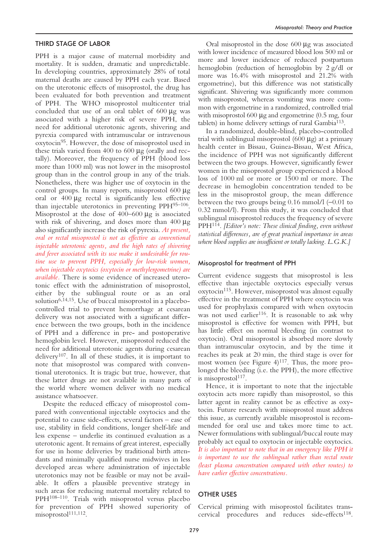## THIRD STAGE OF LABOR

PPH is a major cause of maternal morbidity and mortality. It is sudden, dramatic and unpredictable. In developing countries, approximately 28% of total maternal deaths are caused by PPH each year. Based on the uterotonic effects of misoprostol, the drug has been evaluated for both prevention and treatment of PPH. The WHO misoprostol multicenter trial concluded that use of an oral tablet of  $600 \mu g$  was associated with a higher risk of severe PPH, the need for additional uterotonic agents, shivering and pyrexia compared with intramuscular or intravenous oxytocin95. However, the dose of misoprostol used in these trials varied from 400 to 600 µg (orally and rectally). Moreover, the frequency of PPH (blood loss more than 1000 ml) was not lower in the misoprostol group than in the control group in any of the trials. Nonetheless, there was higher use of oxytocin in the control groups. In many reports, misoprostol 600 µg oral or 400 µg rectal is significantly less effective than injectable uterotonics in preventing PPH95–106. Misoprostol at the dose of 400–600 µg is associated with risk of shivering, and doses more than 400  $\mu$ g also significantly increase the risk of pyrexia. *At present, oral or rectal misoprostol is not as effective as conventional injectable uterotonic agents, and the high rates of shivering and fever associated with its use make it undesirable for routine use to prevent PPH, especially for low-risk women, when injectable oxytocics (oxytocin or methylergometrine) are available.* There is some evidence of increased uterotonic effect with the administration of misoprostol, either by the sublingual route or as an oral solution<sup>6,14,15</sup>. Use of buccal misoprostol in a placebocontrolled trial to prevent hemorrhage at cesarean delivery was not associated with a significant difference between the two groups, both in the incidence of PPH and a difference in pre- and postoperative hemoglobin level. However, misoprostol reduced the need for additional uterotonic agents during cesarean delivery107. In all of these studies, it is important to note that misoprostol was compared with conventional uterotonics. It is tragic but true, however, that these latter drugs are not available in many parts of the world where women deliver with no medical assistance whatsoever.

Despite the reduced efficacy of misoprostol compared with conventional injectable oxytocics and the potential to cause side-effects, several factors – ease of use, stability in field conditions, longer shelf-life and less expense – underlie its continued evaluation as a uterotonic agent. It remains of great interest, especially for use in home deliveries by traditional birth attendants and minimally qualified nurse midwives in less developed areas where administration of injectable uterotonics may not be feasible or may not be available. It offers a plausible preventive strategy in such areas for reducing maternal mortality related to PPH108–110. Trials with misoprostol versus placebo for prevention of PPH showed superiority of misoprostol<sup>111,112</sup>.

Oral misoprostol in the dose 600 µg was associated with lower incidence of measured blood loss 500 ml or more and lower incidence of reduced postpartum hemoglobin (reduction of hemoglobin by 2 g/dl or more was 16.4% with misoprostol and 21.2% with ergometrine), but this difference was not statistically significant. Shivering was significantly more common with misoprostol, whereas vomiting was more common with ergometrine in a randomized, controlled trial with misoprostol  $600 \mu$ g and ergometrine  $(0.5 \text{ mg}, \text{four})$ tablets) in home delivery settings of rural Gambia113.

In a randomized, double-blind, placebo-controlled trial with sublingual misoprostol  $(600 \mu g)$  at a primary health center in Bissau, Guinea-Bissau, West Africa, the incidence of PPH was not significantly different between the two groups. However, significantly fewer women in the misoprostol group experienced a blood loss of 1000 ml or more or 1500 ml or more. The decrease in hemoglobin concentration tended to be less in the misoprostol group, the mean difference between the two groups being 0.16 mmol/l (−0.01 to 0.32 mmol/l). From this study, it was concluded that sublingual misoprostol reduces the frequency of severe PPH114. *[Editor's note: These clinical finding, even without statistical differences, are of great practical importance in areas where blood supplies are insufficient or totally lacking. L.G.K.]*

## Misoprostol for treatment of PPH

Current evidence suggests that misoprostol is less effective than injectable oxytocics especially versus oxytocin<sup>115</sup>. However, misoprostol was almost equally effective in the treatment of PPH where oxytocin was used for prophylaxis compared with when oxytocin was not used earlier<sup>116</sup>. It is reasonable to ask why misoprostol is effective for women with PPH, but has little effect on normal bleeding (in contrast to oxytocin). Oral misoprostol is absorbed more slowly than intramuscular oxytocin, and by the time it reaches its peak at 20 min, the third stage is over for most women (see Figure  $4$ )<sup>117</sup>. Thus, the more prolonged the bleeding (i.e. the PPH), the more effective is misoprostol<sup>117</sup>.

Hence, it is important to note that the injectable oxytocin acts more rapidly than misoprostol, so this latter agent in reality cannot be as effective as oxytocin. Future research with misoprostol must address this issue, as currently available misoprostol is recommended for oral use and takes more time to act. Newer formulations with sublingual/buccal route may probably act equal to oxytocin or injectable oxytocics. *It is also important to note that in an emergency like PPH it is important to use the sublingual rather than rectal route (least plasma concentration compared with other routes) to have earlier effective concentrations.*

## OTHER USES

Cervical priming with misoprostol facilitates transcervical procedures and reduces side-effects<sup>118</sup>.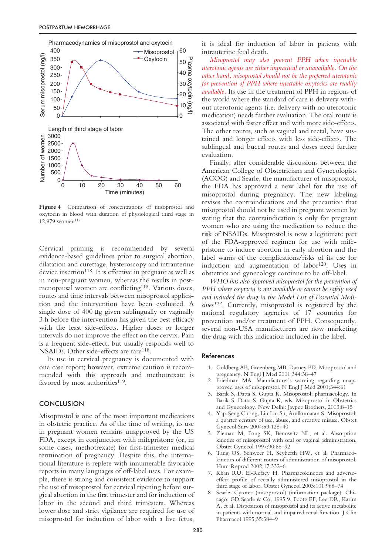

**Figure 4** Comparison of concentrations of misoprostol and oxytocin in blood with duration of physiological third stage in 12,979 women<sup>117</sup>

Cervical priming is recommended by several evidence-based guidelines prior to surgical abortion, dilatation and curettage, hysteroscopy and intrauterine device insertion<sup>118</sup>. It is effective in pregnant as well as in non-pregnant women, whereas the results in postmenopausal women are conflicting<sup>118</sup>. Various doses, routes and time intervals between misoprostol application and the intervention have been evaluated. A single dose of 400  $\mu$ g given sublingually or vaginally 3 h before the intervention has given the best efficacy with the least side-effects. Higher doses or longer intervals do not improve the effect on the cervix. Pain is a frequent side-effect, but usually responds well to NSAIDs. Other side-effects are rare<sup>118</sup>.

Its use in cervical pregnancy is documented with one case report; however, extreme caution is recommended with this approach and methotrexate is favored by most authorities<sup>119</sup>.

## **CONCLUSION**

Misoprostol is one of the most important medications in obstetric practice. As of the time of writing, its use in pregnant women remains unapproved by the US FDA, except in conjunction with mifepristone (or, in some cases, methotrexate) for first-trimester medical termination of pregnancy. Despite this, the international literature is replete with innumerable favorable reports in many languages of off-label uses. For example, there is strong and consistent evidence to support the use of misoprostol for cervical ripening before surgical abortion in the first trimester and for induction of labor in the second and third trimesters. Whereas lower dose and strict vigilance are required for use of misoprostol for induction of labor with a live fetus,

it is ideal for induction of labor in patients with intrauterine fetal death.

*Misoprostol may also prevent PPH when injectable uterotonic agents are either impractical or unavailable. On the other hand, misoprostol should not be the preferred uterotonic for prevention of PPH where injectable oxytocics are readily available.* Its use in the treatment of PPH in regions of the world where the standard of care is delivery without uterotonic agents (i.e. delivery with no uterotonic medication) needs further evaluation. The oral route is associated with faster effect and with more side-effects. The other routes, such as vaginal and rectal, have sustained and longer effects with less side-effects. The sublingual and buccal routes and doses need further evaluation.

Finally, after considerable discussions between the American College of Obstetricians and Gynecologists (ACOG) and Searle, the manufacturer of misoprostol, the FDA has approved a new label for the use of misoprostol during pregnancy. The new labeling revises the contraindications and the precaution that misoprostol should not be used in pregnant women by stating that the contraindication is only for pregnant women who are using the medication to reduce the risk of NSAIDs. Misoprostol is now a legitimate part of the FDA-approved regimen for use with mifepristone to induce abortion in early abortion and the label warns of the complications/risks of its use for induction and augmentation of labor<sup>120</sup>. Uses in obstetrics and gynecology continue to be off-label.

*WHO has also approved misoprostol for the prevention of PPH where oxytocin is not available or cannot be safely used and included the drug in the Model List of Essential Medicines122.* Currently, misoprostol is registered by the national regulatory agencies of 17 countries for prevention and/or treatment of PPH. Consequently, several non-USA manufacturers are now marketing the drug with this indication included in the label.

#### References

- 1. Goldberg AB, Greenberg MB, Darney PD. Misoprostol and pregnancy. N Engl J Med 2001;344:38–47
- 2. Friedman MA. Manufacturer's warning regarding unapproved uses of misoprostol. N Engl J Med 2001;344:61
- 3. Barik S, Datta S, Gupta K. Misoprostol: pharmacology. In Barik S, Datta S, Gupta K, eds. Misoprostol in Obstetrics and Gynecology. New Delhi: Jaypee Brothers, 2003:8–15
- 4. Yap-Seng Chong, Lin Lin Su, Arulkumaran S. Misoprostol: a quarter century of use, abuse, and creative misuse. Obstet Gynecol Surv 2004;59:128–40
- 5. Zieman M, Fong SK, Benowitz NL, et al. Absorption kinetics of misoprostol with oral or vaginal administration. Obstet Gynecol 1997;90:88–92
- 6. Tang OS, Schweer H, Seyberth HW, et al. Pharmacokinetics of different routes of administration of misoprostol. Hum Reprod 2002;17:332–6
- 7. Khan RU, El-Refaey H. Pharmacokinetics and adverseeffect profile of rectally administered misoprostol in the third stage of labor. Obstet Gynecol 2003;101:968–74
- 8. Searle: Cytotec (misoprostol) (information package). Chicago: GD Searle & Co, 1995 9. Foote EF, Lee DR, Karim A, et al. Disposition of misoprostol and its active metabolite in patients with normal and impaired renal function. J Clin Pharmacol 1995;35:384–9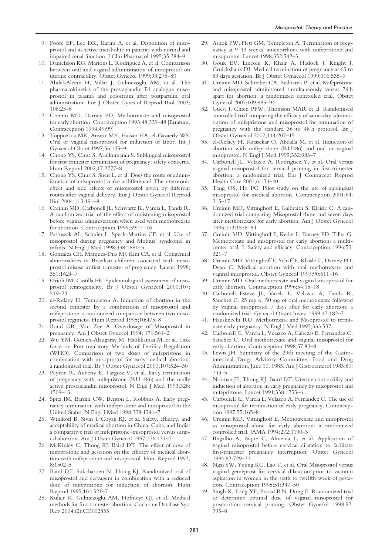- 9. Foote EF, Lee DR, Karim A, et al. Disposition of misoprostol and its active metabolite in patients with normal and impaired renal function. J Clin Pharmacol 1995;35:384–9
- 10. Danielsson KG, Marions L, Rodriguez A, et al. Comparison between oral and vaginal administration of misoprostol on uterine contractility. Obstet Gynecol 1999;93:275–80
- 11. Abdel-Aleem H, Villar J, Gulmezoglu AM, et al. The pharmacokinetics of the prostaglandin E1 analogue misoprostol in plasma and colostrum after postpartum oral administration. Eur J Obstet Gynecol Reprod Biol 2003; 108:25–8
- 12. Creinin MD, Darney PD. Methotrexate and misoprostol for early abortion. Contraception 1993;48:339–48 [Erratum, Contraception 1994;49:99]
- 13. Toppozada MK, Anwar MY, Hassan HA, el-Gazaerly WS. Oral or vaginal misoprostol for induction of labor. Int J Gynaecol Obstet 1997;56:135–9
- 14. Chong YS, Chua S, Arulkumaran S. Sublingual misoprostol for first trimester termination of pregnancy: safety concerns. Hum Reprod 2002;17:2777–8
- 15. Chong YS, Chua S, Shen L, et al. Does the route of administration of misoprostol make a difference? The uterotonic effect and side effects of misoprostol given by different routes after vaginal delivery. Eur J Obstet Gynecol Reprod Biol 2004;113:191–8
- 16. Creinin MD, Carbonell JL, Schwartz JL, Varela L, Tanda R. A randomized trial of the effect of moistening misoprostol before vaginal administration when used with methotrexate for abortion. Contraception 1999;59:11–16
- 17. Pastuszak AL, Schuler L, Speck-Martins CE, et al. Use of misoprostol during pregnancy and Mobius' syndrome in infants. N Engl J Med 1998;338:1881–5
- 18. Gonzalez CH, Marques-Dias MJ, Kim CA, et al. Congenital abnormalities in Brazilian children associated with misoprostol misuse in first trimester of pregnancy. Lancet 1998; 351:1624–7
- 19. Orioli IM, Castilla EE. Epidemiological assessment of misoprostol teratogenicity. Br J Obstet Gynaecol 2000;107: 519–23
- 20. el-Refaey H, Templeton A. Induction of abortion in the second trimester by a combination of misoprostol and mifepristone: a randomized comparison between two misoprostol regimens. Hum Reprod 1995;10:475–8
- 21. Bond GR, Van Zee A. Overdosage of Misoprostol in pregnancy. Am J Obstet Gynecol 1994; 171:561–2
- 22. Wu YM, Gomex-Alzugaray M, Haukkamaa M, et al. Task force on Post ovulatory Methods of Fertility Regulation (WHO). Comparison of two doses of mifepristone in combination with misoprostol for early medical abortion: a randomised trial. Br J Obstet Gynaecol 2000;107:524–30
- 23. Peyron R, Aubeny E, Targosz V, et al. Early termination of pregnancy with mifepristone (RU 486) and the orally active prostaglandin misoprostol. N Engl J Med 1993;328: 1509–13
- 24. Spitz IM, Bardin CW, Benton L, Robbins A. Early pregnancy termination with mifepristone and misoprostol in the United States. N Engl J Med 1998;338:1241–7
- 25. Winikoff B, Sivin I, Coyaji KJ, et al. Safety, efficacy, and acceptability of medical abortion in China, Cuba, and India: a comparative trial of mifepristone–misoprostol versus surgical abortion. Am J Obstet Gynecol 1997;176:431–7
- 26. McKinley C, Thong KJ, Baird DT. The effect of dose of mifepristone and gestation on the efficacy of medical abortion with mifepristone and misoprostol. Hum Reprod 1993; 8:1502–5
- 27. Baird DT, Sukcharoen N, Thong KJ. Randomized trial of misoprostol and cervagem in combination with a reduced dose of mifepristone for induction of abortion. Hum Reprod 1995;10:1521–7
- 28. Kulier R, Gulmezoglu AM, Hofmeyr GJ, et al. Medical methods for first trimester abortion. Cochrane Database Syst Rev 2004;(2):CD002855
- 29. Ashok PW, Flett GM, Templeton A. Termination of pregnancy at 9–13 weeks' amenorrhoea with mifepristone and misoprostol. Lancet 1998;352:542–3
- 30. Gouk EV, Lincoln K, Khair A, Haslock J, Knight J, Cruickshank DJ. Medical termination of pregnancy at 63 to 83 days gestation. Br J Obstet Gynaecol 1999;106:535–9
- 31. Creinin MD, Schreiber CA, Bednarek P, et al. Mifepristone and misoprostol administered simultaneously versus 24 h apart for abortion: a randomized controlled trial. Obstet Gynecol 2007;109:885–94
- 32. Guest J, Chien PFW, Thomson MAR et al. Randomised controlled trial comparing the efficacy of same-day administration of mifepristone and misoprostol for termination of pregnancy with the standard 36 to 48 h protocol. Br J Obstet Gynaecol 2007;114:207–15
- 33. el-Refaey H, Rajasekar O, Abdalla M, et al. Induction of abortion with mifepristone (RU486) and oral or vaginal misoprostol. N Engl J Med 1995;332:983–7
- 34. Carbonell JL, Velazco A, Rodriguez Y, et al. Oral versus vaginal misoprostol for cervical priming in first-trimester abortion: a randomized trial. Eur J Contracept Reprod Health Care 2001;6:134–40
- 35. Tang OS, Ho PC. Pilot study on the use of sublingual misoprostol for medical abortion. Contraception 2001;64: 315–17
- 36. Creinin MD, Vittinghoff E, Galbraith S, Klaisle C. A randomized trial comparing Misoprostol three and seven days after methotrexate for early abortion. Am J Obstet Gynecol 1995;173:1578–84
- 37. Creinin MD, Vittinghoff E, Keder L, Darney PD, Tiller G. Methotrexate and misoprostol for early abortion: a multicenter trial. I. Safety and efficacy. Contraception 1996;53: 321–7
- 38. Creinin MD, Vittinghoff E, Schaff E, Klaisle C, Darney PD, Dean C. Medical abortion with oral methotrexate and vaginal misoprostol. Obstet Gynecol 1997;90:611–16
- 39. Creinin MD. Oral methotrexate and vaginal misoprostol for early abortion. Contraception 1996;54:15–18
- 40. Carbonell Esteve JL, Varela L, Velazco A, Tanda R, Sanchez C. 25 mg or 50 mg of oral methotrexate followed by vaginal misoprostol 7 days after for early abortion: a randomized trial. Gynecol Obstet Invest 1999;47:182–7
- 41. Hausknecht RU. Methotrexate and Misoprostol to terminate early pregnancy. N Engl J Med 1995;333:537
- 42. Carbonell JL, Varela L, Velazco A, Cabezas E, Fernandez C, Sanchez C. Oral methotrexate and vaginal misoprostol for early abortion. Contraception 1998;57:83–8
- 43. Lewis JH. Summary of the 29th meeting of the Gastrointestinal Drugs Advisory Committee, Food and Drug Administration, June 10, 1985. Am J Gastroenterol 1985;80: 743–5
- 44. Norman JE, Thong KJ, Baird DT. Uterine contractility and induction of abortion in early pregnancy by misoprostol and mifepristone. Lancet 1991;338:1233–6
- 45. Carbonell JL, Varela L, Velazco A, Fernandez C. The use of misoprostol for termination of early pregnancy. Contraception 1997;55:165–8
- 46. Creinin MD, Vittinghoff E. Methotrexate and misoprostol vs misoprostol alone for early abortion: a randomized controlled trial. JAMA 1994;272:1190–5
- 47. Bugalho A, Bique C, Almeida L, et al. Application of vaginal misoprostol before cervical dilatation to facilitate first-trimester pregnancy interruption. Obstet Gynecol 1994;83:729–31
- 48. Ngai SW, Yeung KC, Lao T, et al. Oral Misoprostol versus vaginal gemeprost for cervical dilatation prior to vacuum aspiration in women in the sixth to twelfth week of gestation. Contraception 1995;51:347–50
- 49. Singh K, Fong YF, Prasad RN, Dong F. Randomized trial to determine optimal dose of vaginal misoprostol for preabortion cervical priming. Obstet Gynecol 1998;92: 795–8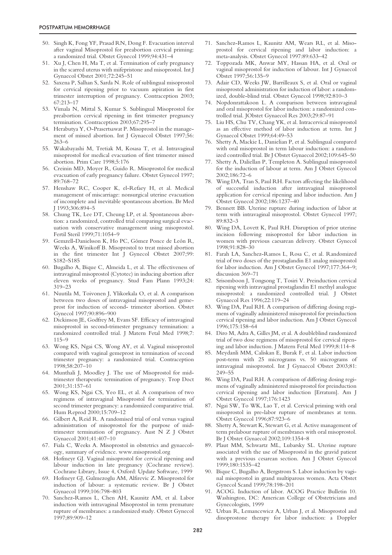- 50. Singh K, Fong YF, Prasad RN, Dong F. Evacuation interval after vaginal Misoprostol for preabortion cervical priming: a randomized trial. Obstet Gynecol 1999;94:431–4
- 51. Xu J, Chen H, Ma T, et al. Termination of early pregnancy in the scarred uterus with mifepristone and misoprostol. Int J Gynaecol Obstet 2001;72:245–51
- 52. Saxena P, Salhan S, Sarda N. Role of sublingual misoprostol for cervical ripening prior to vacuum aspiration in first trimester interruption of pregnancy. Contraception 2003; 67:213–17
- 53. Vimala N, Mittal S, Kumar S. Sublingual Misoprostol for preabortion cervical ripening in first trimester pregnancy termination. Contraception 2003;67:295–7
- 54. Herabutya Y, O-Prasertsawat P. Misoprostol in the management of missed abortion. Int J Gynaecol Obstet 1997;56: 263–6
- 55. Wakabayashi M, Tretiak M, Kosasa T, et al. Intravaginal misoprostol for medical evacuation of first trimester missed abortion. Prim Care 1998;5:176
- 56. Creinin MD, Moyer R, Guido R. Misoprostol for medical evacuation of early pregnancy failure. Obstet Gynecol 1997; 89:768–72
- 57. Henshaw RC, Cooper K, el-Refaey H, et al. Medical management of miscarriage: nonsurgical uterine evacuation of incomplete and inevitable spontaneous abortion. Br Med J 1993;306:894–5
- 58. Chung TK, Lee DT, Cheung LP, et al. Spontaneous abortion: a randomized, controlled trial comparing surgical evacuation with conservative management using misoprostol. Fertil Steril 1999;71:1054–9
- 59. Gemzell-Danielsson K, Ho PC, Gómez Ponce de León R, Weeks A, Winikoff B. Misoprostol to treat missed abortion in the first trimester Int J Gynecol Obstet 2007;99: S182–S185
- 60. Bugalho A, Bique C, Almeida L, et al. The effectiveness of intravaginal misoprostol (Cytotec) in inducing abortion after eleven weeks of pregnancy. Stud Fam Plann 1993;24: 319–23
- 61. Nuutila M, Toivonen J, Ylikorkala O, et al. A comparison between two doses of intravaginal misoprostol and gemeprost for induction of second- trimester abortion. Obstet Gynecol 1997;90:896–900
- 62. Dickinson JE, Godfrey M, Evans SF. Efficacy of intravaginal misoprostol in second-trimester pregnancy termination: a randomized controlled trial. J Matern Fetal Med 1998;7: 115–9
- 63. Wong KS, Ngai CS, Wong AY, et al. Vaginal misoprostol compared with vaginal gemeprost in termination of second trimester pregnancy: a randomized trial. Contraception 1998;58:207–10
- 64. Munthali J, Moodley J. The use of Misoprostol for midtrimester therapeutic termination of pregnancy. Trop Doct 2001;31:157–61
- 65. Wong KS, Ngai CS, Yeo EL, et al. A comparison of two regimens of intravaginal Misoprostol for termination of second trimester pregnancy: a randomized comparative trial. Hum Reprod 2000;15:709–12
- 66. Gilbert A, Reid R. A randomised trial of oral versus vaginal administration of misoprostol for the purpose of midtrimester termination of pregnancy. Aust N Z J Obstet Gynaecol 2001;41:407–10
- 67. Fiala C, Weeks A. Misoprostol in obstetrics and gynaecology, summary of evidence. www.misoprostol.org
- 68. Hofmeyr GJ. Vaginal misoprostol for cervical ripening and labour induction in late pregnancy (Cochrane review). Cochrane Library, Issue 4, Oxford: Update Software, 1999
- 69. Hofmeyr GJ, Gulmezoglu AM, Alfirevic Z. Misoprostol for induction of labour: a systematic review. Br J Obstet Gynaecol 1999;106:798–803
- 70. Sanchez-Ramos L, Chen AH, Kaunitz AM, et al. Labor induction with intravaginal Misoprostol in term premature rupture of membranes: a randomized study. Obstet Gynecol 1997;89:909–12
- 71. Sanchez-Ramos L, Kaunitz AM, Wears RL, et al. Misoprostol for cervical ripening and labor induction: a meta-analysis. Obstet Gynecol 1997:89:633–42
- 72. Toppozada MK, Anwar MY, Hassan HA, et al. Oral or vaginal misoprostol for induction of labour. Int J Gynaecol Obstet 1997;56:135–9
- 73. Adair CD, Weeks JW, Barrilleaux S, et al. Oral or vaginal misoprostol administration for induction of labor: a randomized, double-blind trial. Obstet Gynecol 1998;92:810–3
- 74. Nopdonrattakoon L. A comparison between intravaginal and oral misoprostol for labor induction: a randomized controlled trial. JObstet Gynaecol Res 2003;29:87–91
- 75. Liu HS, Chu TV, Chang YK, et al. Intracervical misoprostol as an effective method of labor induction at term. Int J Gynaecol Obstet 1999;64:49–53
- 76. Shetty A, Mackie L, Danielian P, et al. Sublingual compared with oral misoprostol in term labour induction: a randomized controlled trial. Br J Obstet Gynaecol 2002;109:645–50
- 77. Shetty A, Daliellan P, Templeton A. Sublingual misoprostol for the induction of labour at term. Am J Obstet Gynecol 2002;186:72–6
- 78. Wing DA, Tran S, Paul RH. Factors affecting the likelihood of successful induction after intravaginal misoprostol application for cervical ripening and labor induction. Am J Obstet Gynecol 2002;186:1237–40
- 79. Bennett BB. Uterine rupture during induction of labor at term with intravaginal misoprostol. Obstet Gynecol 1997; 89:832–3
- 80. Wing DA, Lovett K, Paul RH. Disruption of prior uterine incision following misoprostol for labor induction in women with previous caesarean delivery. Obstet Gynecol 1998;91:828–30
- 81. Farah LA, Sanchez-Ramos L, Rosa C, et al. Randomized trial of two doses of the prostaglandin E1 analog misoprostol for labor induction. Am J Obstet Gynecol 1997;177:364–9; discussion 369–71
- 82. Srisomboon J, Tongsong T, Tosiri V. Preinduction cervical ripening with intravaginal prostaglandin E1 methyl analogue misoprostol: a randomized controlled trial. J Obstet Gynaecol Res 1996;22:119–24
- 83. Wing DA, Paul RH. A comparison of differing dosing regimens of vaginally administered misoprostol for preinduction cervical ripening and labor induction. Am J Obstet Gynecol 1996;175:158–64
- 84. Diro M, Adra A, Gilles JM, et al. A doubleblind randomized trial of two dose regimens of misoprostol for cervical ripening and labor induction. J Matern Fetal Med 1999;8:114–8
- 85. Meydanli MM, Caliskan E, Burak F, et al. Labor induction post-term with 25 micrograms vs. 50 micrograms of intravaginal misoprostol. Int J Gynaecol Obstet 2003;81: 249–55
- 86. Wing DA, Paul RH. A comparison of differing dosing regimens of vaginally administered misoprostol for preinduction cervical ripening and labor induction [Erratum]. Am J Obstet Gynecol 1997;176:1423
- 87. Ngai SW, To WK, Lao T, et al. Cervical priming with oral misoprostol in pre-labor rupture of membranes at term. Obstet Gynecol 1996;87:923–6
- 88. Shetty A, Stewart K, Stewart G, et al. Active management of term prelabour rupture of membranes with oral misoprostol. Br J Obstet Gynaecol 2002;109:1354–8
- 89. Plaut MM, Schwartz ML, Lubarsky SL. Uterine rupture associated with the use of Misoprostol in the gravid patient with a previous cesarean section. Am J Obstet Gynecol 1999;180:1535–42
- 90. Bique C, Bugalho A, Bergstrom S. Labor induction by vaginal misoprostol in grand multiparous women. Acta Obstet Gynecol Scand 1999;78:198–201
- 91. ACOG. Induction of labor. ACOG Practice Bulletin 10. Washington, DC: American College of Obstetricians and Gynecologists, 1999
- 92. Urban R, Lemancewicz A, Urban J, et al. Misoprostol and dinoprostone therapy for labor induction: a Doppler